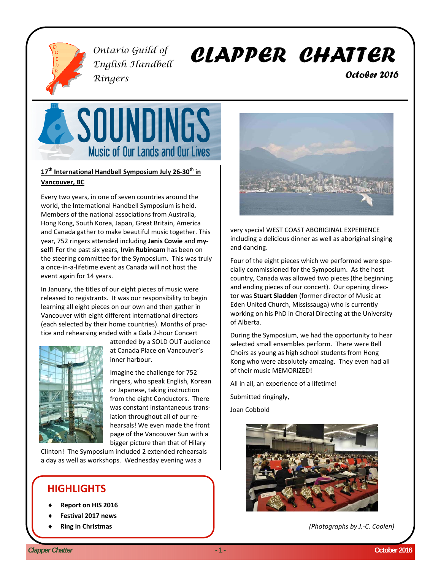

*Ontario Guild of English Handbell Ringers* 

# *CLAPPER CHATTER*

 *October 2016* 



#### **17th International Handbell Symposium July 26‐30th in Vancouver, BC**

Every two years, in one of seven countries around the world, the International Handbell Symposium is held. Members of the national associations from Australia, Hong Kong, South Korea, Japan, Great Britain, America and Canada gather to make beautiful music together. This year, 752 ringers attended including **Janis Cowie** and **my‐ self**! For the past six years, **Irvin Rubincam** has been on the steering committee for the Symposium. This was truly a once‐in‐a‐lifetime event as Canada will not host the event again for 14 years.

In January, the titles of our eight pieces of music were released to registrants. It was our responsibility to begin learning all eight pieces on our own and then gather in Vancouver with eight different international directors (each selected by their home countries). Months of prac‐ tice and rehearsing ended with a Gala 2‐hour Concert



attended by a SOLD OUT audience at Canada Place on Vancouver's inner harbour.

Imagine the challenge for 752 ringers, who speak English, Korean or Japanese, taking instruction from the eight Conductors. There was constant instantaneous trans‐ lation throughout all of our re‐ hearsals! We even made the front page of the Vancouver Sun with a bigger picture than that of Hilary

Clinton! The Symposium included 2 extended rehearsals a day as well as workshops. Wednesday evening was a

## **HIGHLIGHTS**

- **Report on HIS 2016**
- **Festival 2017 news**
- **Ring in Christmas**



very special WEST COAST ABORIGINAL EXPERIENCE including a delicious dinner as well as aboriginal singing and dancing.

Four of the eight pieces which we performed were spe‐ cially commissioned for the Symposium. As the host country, Canada was allowed two pieces (the beginning and ending pieces of our concert). Our opening direc‐ tor was **Stuart Sladden** (former director of Music at Eden United Church, Mississauga) who is currently working on his PhD in Choral Directing at the University of Alberta.

During the Symposium, we had the opportunity to hear selected small ensembles perform. There were Bell Choirs as young as high school students from Hong Kong who were absolutely amazing. They even had all of their music MEMORIZED!

All in all, an experience of a lifetime!

Submitted ringingly,

Joan Cobbold



*(Photographs by J.‐C. Coolen)*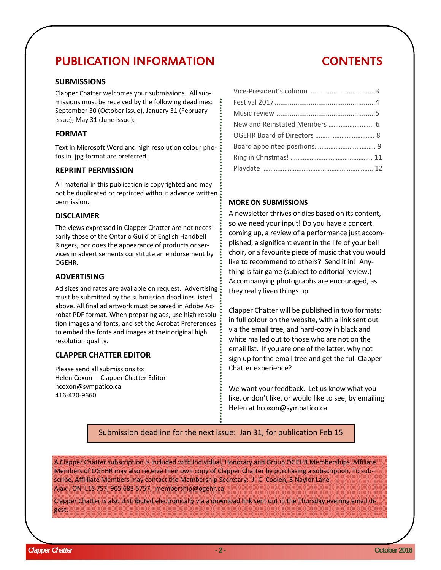# PUBLICATION INFORMATION

#### **SUBMISSIONS**

Clapper Chatter welcomes your submissions. All sub‐ missions must be received by the following deadlines: September 30 (October issue), January 31 (February issue), May 31 (June issue).

#### **FORMAT**

Text in Microsoft Word and high resolution colour pho‐ tos in .jpg format are preferred.

#### **REPRINT PERMISSION**

All material in this publication is copyrighted and may not be duplicated or reprinted without advance written permission.

#### **DISCLAIMER**

The views expressed in Clapper Chatter are not neces‐ sarily those of the Ontario Guild of English Handbell Ringers, nor does the appearance of products or ser‐ vices in advertisements constitute an endorsement by OGEHR.

#### **ADVERTISING**

Ad sizes and rates are available on request. Advertising must be submitted by the submission deadlines listed above. All final ad artwork must be saved in Adobe Ac‐ robat PDF format. When preparing ads, use high resolu‐ tion images and fonts, and set the Acrobat Preferences to embed the fonts and images at their original high resolution quality.

#### **CLAPPER CHATTER EDITOR**

Please send all submissions to: Helen Coxon —Clapper Chatter Editor hcoxon@sympatico.ca 416‐420‐9660

# Vice‐President's column ..................................3 Festival 2017.....................................................4

#### **MORE ON SUBMISSIONS**

A newsletter thrives or dies based on its content, so we need your input! Do you have a concert coming up, a review of a performance just accom‐ plished, a significant event in the life of your bell choir, or a favourite piece of music that you would like to recommend to others? Send it in! Any‐ thing is fair game (subject to editorial review.) Accompanying photographs are encouraged, as they really liven things up.

Clapper Chatter will be published in two formats: in full colour on the website, with a link sent out via the email tree, and hard‐copy in black and white mailed out to those who are not on the email list. If you are one of the latter, why not sign up for the email tree and get the full Clapper Chatter experience?

We want your feedback. Let us know what you like, or don't like, or would like to see, by emailing Helen at hcoxon@sympatico.ca

Submission deadline for the next issue: Jan 31, for publication Feb 15

A Clapper Chatter subscription is included with Individual, Honorary and Group OGEHR Memberships. Affiliate Members of OGEHR may also receive their own copy of Clapper Chatter by purchasing a subscription. To sub‐ scribe, Affiiliate Members may contact the Membership Secretary: J.‐C. Coolen, 5 Naylor Lane Ajax , ON L1S 7S7, 905 683 5757, membership@ogehr.ca

Clapper Chatter is also distributed electronically via a download link sent out in the Thursday evening email di‐ gest.

CONTENTS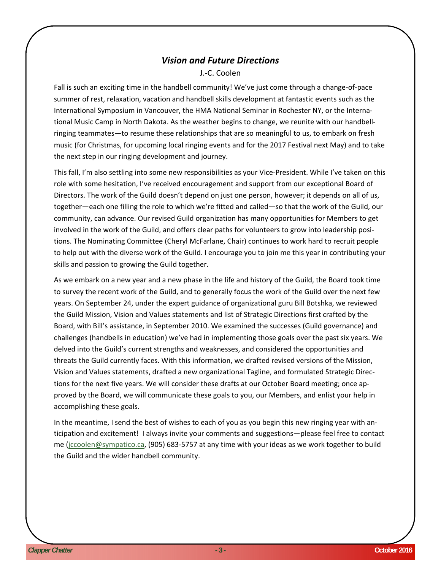#### *Vision and Future Directions*

J.‐C. Coolen

Fall is such an exciting time in the handbell community! We've just come through a change‐of‐pace summer of rest, relaxation, vacation and handbell skills development at fantastic events such as the International Symposium in Vancouver, the HMA National Seminar in Rochester NY, or the Interna‐ tional Music Camp in North Dakota. As the weather begins to change, we reunite with our handbell‐ ringing teammates—to resume these relationships that are so meaningful to us, to embark on fresh music (for Christmas, for upcoming local ringing events and for the 2017 Festival next May) and to take the next step in our ringing development and journey.

This fall, I'm also settling into some new responsibilities as your Vice‐President. While I've taken on this role with some hesitation, I've received encouragement and support from our exceptional Board of Directors. The work of the Guild doesn't depend on just one person, however; it depends on all of us, together—each one filling the role to which we're fitted and called—so that the work of the Guild, our community, can advance. Our revised Guild organization has many opportunities for Members to get involved in the work of the Guild, and offers clear paths for volunteers to grow into leadership positions. The Nominating Committee (Cheryl McFarlane, Chair) continues to work hard to recruit people to help out with the diverse work of the Guild. I encourage you to join me this year in contributing your skills and passion to growing the Guild together.

As we embark on a new year and a new phase in the life and history of the Guild, the Board took time to survey the recent work of the Guild, and to generally focus the work of the Guild over the next few years. On September 24, under the expert guidance of organizational guru Bill Botshka, we reviewed the Guild Mission, Vision and Values statements and list of Strategic Directions first crafted by the Board, with Bill's assistance, in September 2010. We examined the successes (Guild governance) and challenges (handbells in education) we've had in implementing those goals over the past six years. We delved into the Guild's current strengths and weaknesses, and considered the opportunities and threats the Guild currently faces. With this information, we drafted revised versions of the Mission, Vision and Values statements, drafted a new organizational Tagline, and formulated Strategic Direc‐ tions for the next five years. We will consider these drafts at our October Board meeting; once ap‐ proved by the Board, we will communicate these goals to you, our Members, and enlist your help in accomplishing these goals.

In the meantime, I send the best of wishes to each of you as you begin this new ringing year with an‐ ticipation and excitement! I always invite your comments and suggestions—please feel free to contact me (jccoolen@sympatico.ca, (905) 683‐5757 at any time with your ideas as we work together to build the Guild and the wider handbell community.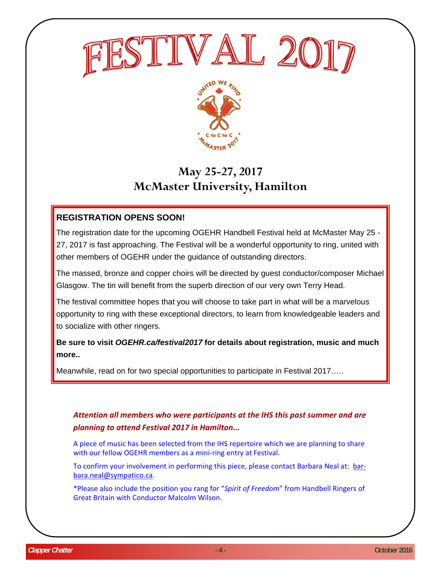



# **May 25-27, 2017 McMaster University, Hamilton**

## **REGISTRATION OPENS SOON!**

The registration date for the upcoming OGEHR Handbell Festival held at McMaster May 25 - 27, 2017 is fast approaching. The Festival will be a wonderful opportunity to ring, united with other members of OGEHR under the guidance of outstanding directors.

The massed, bronze and copper choirs will be directed by guest conductor/composer Michael Glasgow. The tin will benefit from the superb direction of our very own Terry Head.

The festival committee hopes that you will choose to take part in what will be a marvelous opportunity to ring with these exceptional directors, to learn from knowledgeable leaders and to socialize with other ringers.

**Be sure to visit** *OGEHR.ca/festival2017* **for details about registration, music and much more..** 

Meanwhile, read on for two special opportunities to participate in Festival 2017…..

*Attention all members who were participants at the IHS this past summer and are planning to attend Festival 2017 in Hamilton...*

A piece of music has been selected from the IHS repertoire which we are planning to share with our fellow OGEHR members as a mini-ring entry at Festival.

To confirm your involvement in performing this piece, please contact Barbara Neal at: bar‐ bara.neal@sympatico.ca.

\*Please also include the position you rang for "*Spirit of Freedom*" from Handbell Ringers of Great Britain with Conductor Malcolm Wilson.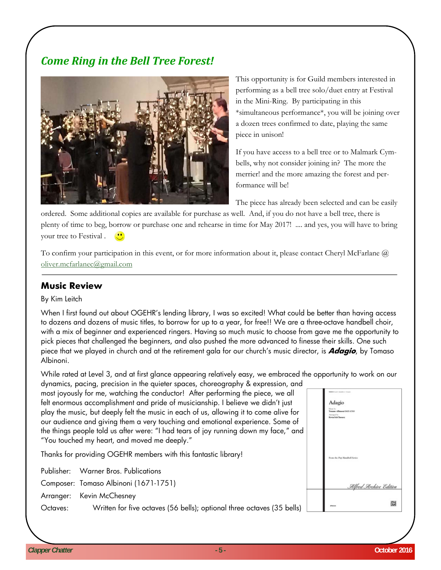## *Come Ring in the Bell Tree Forest!*



This opportunity is for Guild members interested in performing as a bell tree solo/duet entry at Festival in the Mini-Ring. By participating in this \*simultaneous performance\*, you will be joining over a dozen trees confirmed to date, playing the same piece in unison!

If you have access to a bell tree or to Malmark Cymbells, why not consider joining in? The more the merrier! and the more amazing the forest and performance will be!

The piece has already been selected and can be easily

ordered. Some additional copies are available for purchase as well. And, if you do not have a bell tree, there is plenty of time to beg, borrow or purchase one and rehearse in time for May 2017! .... and yes, you will have to bring your tree to Festival .

To confirm your participation in this event, or for more information about it, please contact Cheryl McFarlane  $\omega$ oliver.mcfarlanec@gmail.com

#### **Music Review**

#### By Kim Leitch

When I first found out about OGEHR's lending library, I was so excited! What could be better than having access to dozens and dozens of music titles, to borrow for up to a year, for free!! We are a three-octave handbell choir, with a mix of beginner and experienced ringers. Having so much music to choose from gave me the opportunity to pick pieces that challenged the beginners, and also pushed the more advanced to finesse their skills. One such piece that we played in church and at the retirement gala for our church's music director, is **Adagio**, by Tomaso Albinoni.

While rated at Level 3, and at first glance appearing relatively easy, we embraced the opportunity to work on our dynamics, pacing, precision in the quieter spaces, choreography & expression, and

most joyously for me, watching the conductor! After performing the piece, we all felt enormous accomplishment and pride of musicianship. I believe we didn't just play the music, but deeply felt the music in each of us, allowing it to come alive for our audience and giving them a very touching and emotional experience. Some of the things people told us after were: "I had tears of joy running down my face," and "You touched my heart, and moved me deeply."

Thanks for providing OGEHR members with this fantastic library!

Publisher: Warner Bros. Publications

Composer: Tomaso Albinoni (1671-1751)

Arranger: Kevin McChesney

Octaves: Written for five octaves (56 bells); optional three octaves (35 bells)

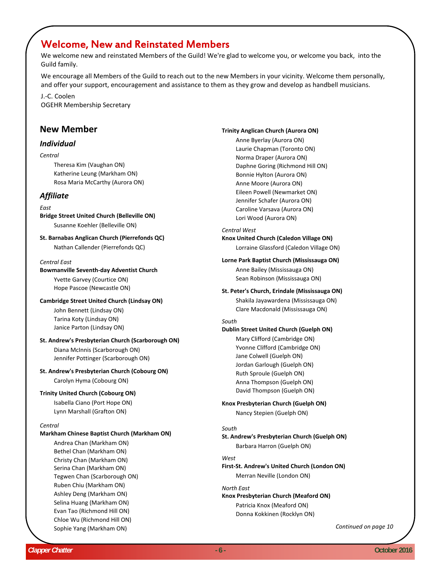## Welcome, New and Reinstated Members

We welcome new and reinstated Members of the Guild! We're glad to welcome you, or welcome you back, into the Guild family.

We encourage all Members of the Guild to reach out to the new Members in your vicinity. Welcome them personally, and offer your support, encouragement and assistance to them as they grow and develop as handbell musicians.

J.‐C. Coolen OGEHR Membership Secretary

#### **New Member**

#### *Individual*

#### *Central*

Theresa Kim (Vaughan ON) Katherine Leung (Markham ON) Rosa Maria McCarthy (Aurora ON)

#### *Affiliate*

#### *East*

**Bridge Street United Church (Belleville ON)** Susanne Koehler (Belleville ON)

**St. Barnabas Anglican Church (Pierrefonds QC)** Nathan Callender (Pierrefonds QC)

#### *Central East*

#### **Bowmanville Seventh‐day Adventist Church**

Yvette Garvey (Courtice ON) Hope Pascoe (Newcastle ON)

#### **Cambridge Street United Church (Lindsay ON)**

John Bennett (Lindsay ON) Tarina Koty (Lindsay ON) Janice Parton (Lindsay ON)

#### **St. Andrew's Presbyterian Church (Scarborough ON)**

Diana McInnis (Scarborough ON) Jennifer Pottinger (Scarborough ON)

#### **St. Andrew's Presbyterian Church (Cobourg ON)**

Carolyn Hyma (Cobourg ON)

#### **Trinity United Church (Cobourg ON)**

Isabella Ciano (Port Hope ON) Lynn Marshall (Grafton ON)

#### *Central*

#### **Markham Chinese Baptist Church (Markham ON)**

Andrea Chan (Markham ON) Bethel Chan (Markham ON) Christy Chan (Markham ON) Serina Chan (Markham ON) Tegwen Chan (Scarborough ON) Ruben Chiu (Markham ON) Ashley Deng (Markham ON) Selina Huang (Markham ON) Evan Tao (Richmond Hill ON) Chloe Wu (Richmond Hill ON) Sophie Yang (Markham ON)

#### **Trinity Anglican Church (Aurora ON)**

Anne Byerlay (Aurora ON) Laurie Chapman (Toronto ON) Norma Draper (Aurora ON) Daphne Goring (Richmond Hill ON) Bonnie Hylton (Aurora ON) Anne Moore (Aurora ON) Eileen Powell (Newmarket ON) Jennifer Schafer (Aurora ON) Caroline Varsava (Aurora ON) Lori Wood (Aurora ON)

#### *Central West*

#### **Knox United Church (Caledon Village ON)**

Lorraine Glassford (Caledon Village ON)

#### **Lorne Park Baptist Church (Mississauga ON)**

Anne Bailey (Mississauga ON) Sean Robinson (Mississauga ON)

#### **St. Peter's Church, Erindale (Mississauga ON)**

Shakila Jayawardena (Mississauga ON) Clare Macdonald (Mississauga ON)

#### *South*

#### **Dublin Street United Church (Guelph ON)**

Mary Clifford (Cambridge ON) Yvonne Clifford (Cambridge ON) Jane Colwell (Guelph ON) Jordan Garlough (Guelph ON) Ruth Sproule (Guelph ON) Anna Thompson (Guelph ON) David Thompson (Guelph ON)

#### **Knox Presbyterian Church (Guelph ON)**

Nancy Stepien (Guelph ON)

#### *South*

**St. Andrew's Presbyterian Church (Guelph ON)** Barbara Harron (Guelph ON)

#### *West*

**First‐St. Andrew's United Church (London ON)** Merran Neville (London ON)

#### *North East*

**Knox Presbyterian Church (Meaford ON)** Patricia Knox (Meaford ON) Donna Kokkinen (Rocklyn ON)

*Continued on page 10*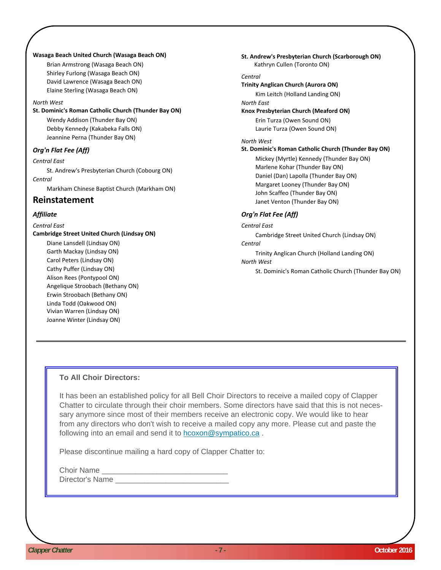#### **Wasaga Beach United Church (Wasaga Beach ON)**

Brian Armstrong (Wasaga Beach ON) Shirley Furlong (Wasaga Beach ON) David Lawrence (Wasaga Beach ON) Elaine Sterling (Wasaga Beach ON)

#### *North West*

**St. Dominic's Roman Catholic Church (Thunder Bay ON)**

Wendy Addison (Thunder Bay ON) Debby Kennedy (Kakabeka Falls ON) Jeannine Perna (Thunder Bay ON)

#### *Org'n Flat Fee (Aff)*

*Central East*

St. Andrew's Presbyterian Church (Cobourg ON) *Central*

Markham Chinese Baptist Church (Markham ON)

#### **Reinstatement**

#### *Affiliate*

#### *Central East*

**Cambridge Street United Church (Lindsay ON)**

Diane Lansdell (Lindsay ON) Garth Mackay (Lindsay ON) Carol Peters (Lindsay ON) Cathy Puffer (Lindsay ON) Alison Rees (Pontypool ON) Angelique Stroobach (Bethany ON) Erwin Stroobach (Bethany ON) Linda Todd (Oakwood ON) Vivian Warren (Lindsay ON) Joanne Winter (Lindsay ON)

**St. Andrew's Presbyterian Church (Scarborough ON)** Kathryn Cullen (Toronto ON) *Central* **Trinity Anglican Church (Aurora ON)** Kim Leitch (Holland Landing ON) *North East* **Knox Presbyterian Church (Meaford ON)** Erin Turza (Owen Sound ON) Laurie Turza (Owen Sound ON) *North West* **St. Dominic's Roman Catholic Church (Thunder Bay ON)**  Mickey (Myrtle) Kennedy (Thunder Bay ON) Marlene Kohar (Thunder Bay ON) Daniel (Dan) Lapolla (Thunder Bay ON) Margaret Looney (Thunder Bay ON) John Scaffeo (Thunder Bay ON) Janet Venton (Thunder Bay ON) *Org'n Flat Fee (Aff)*

## *Central East*

Cambridge Street United Church (Lindsay ON) *Central* Trinity Anglican Church (Holland Landing ON) *North West* St. Dominic's Roman Catholic Church (Thunder Bay ON)

#### **To All Choir Directors:**

It has been an established policy for all Bell Choir Directors to receive a mailed copy of Clapper Chatter to circulate through their choir members. Some directors have said that this is not necessary anymore since most of their members receive an electronic copy. We would like to hear from any directors who don't wish to receive a mailed copy any more. Please cut and paste the following into an email and send it to hcoxon@sympatico.ca .

Please discontinue mailing a hard copy of Clapper Chatter to:

Choir Name

Director's Name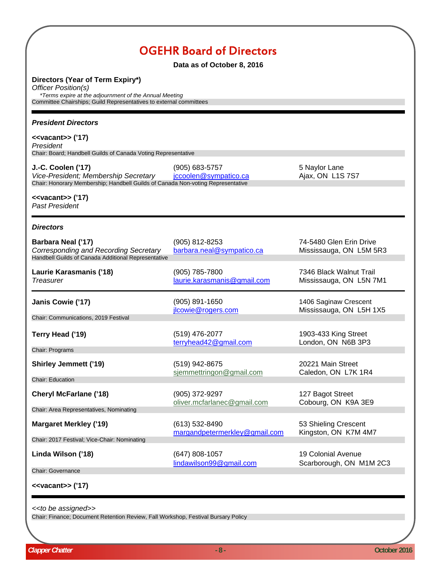|                                                                                                                                                                                         | <b>OGEHR Board of Directors</b><br>Data as of October 8, 2016 |                                                    |
|-----------------------------------------------------------------------------------------------------------------------------------------------------------------------------------------|---------------------------------------------------------------|----------------------------------------------------|
| Directors (Year of Term Expiry*)<br>Officer Position(s)<br>*Terms expire at the adjournment of the Annual Meeting<br>Committee Chairships; Guild Representatives to external committees |                                                               |                                                    |
| <b>President Directors</b>                                                                                                                                                              |                                                               |                                                    |
| < <vacant>&gt; ('17)<br/>President<br/>Chair: Board; Handbell Guilds of Canada Voting Representative</vacant>                                                                           |                                                               |                                                    |
| J.-C. Coolen ('17)<br>Vice-President; Membership Secretary<br>Chair: Honorary Membership; Handbell Guilds of Canada Non-voting Representative                                           | $(905) 683 - 5757$<br>jccoolen@sympatico.ca                   | 5 Naylor Lane<br>Ajax, ON L1S 7S7                  |
| < <vacant>&gt; ('17)<br/><b>Past President</b></vacant>                                                                                                                                 |                                                               |                                                    |
| <b>Directors</b>                                                                                                                                                                        |                                                               |                                                    |
| Barbara Neal ('17)<br>Corresponding and Recording Secretary<br>Handbell Guilds of Canada Additional Representative                                                                      | (905) 812-8253<br>barbara.neal@sympatico.ca                   | 74-5480 Glen Erin Drive<br>Mississauga, ON L5M 5R3 |
| Laurie Karasmanis ('18)<br><b>Treasurer</b>                                                                                                                                             | (905) 785-7800<br>laurie.karasmanis@gmail.com                 | 7346 Black Walnut Trail<br>Mississauga, ON L5N 7M1 |
| Janis Cowie ('17)<br>Chair: Communications, 2019 Festival                                                                                                                               | (905) 891-1650<br>jlcowie@rogers.com                          | 1406 Saginaw Crescent<br>Mississauga, ON L5H 1X5   |
| Terry Head ('19)                                                                                                                                                                        | (519) 476-2077<br>terryhead42@gmail.com                       | 1903-433 King Street<br>London, ON N6B 3P3         |
| Chair: Programs<br><b>Shirley Jemmett ('19)</b>                                                                                                                                         | (519) 942-8675<br>sjemmettringon@gmail.com                    | 20221 Main Street<br>Caledon, ON L7K 1R4           |
| <b>Chair: Education</b>                                                                                                                                                                 |                                                               |                                                    |
| <b>Cheryl McFarlane ('18)</b>                                                                                                                                                           | (905) 372-9297<br>oliver.mcfarlanec@gmail.com                 | 127 Bagot Street<br>Cobourg, ON K9A 3E9            |
| Chair: Area Representatives, Nominating                                                                                                                                                 |                                                               |                                                    |
| <b>Margaret Merkley ('19)</b>                                                                                                                                                           | (613) 532-8490<br>margandpetermerkley@gmail.com               | 53 Shieling Crescent<br>Kingston, ON K7M 4M7       |
| Chair: 2017 Festival; Vice-Chair: Nominating<br>Linda Wilson ('18)                                                                                                                      | $(647)$ 808-1057<br>lindawilson99@gmail.com                   | 19 Colonial Avenue<br>Scarborough, ON M1M 2C3      |
| <b>Chair: Governance</b><br>< <vacant>&gt; ('17)</vacant>                                                                                                                               |                                                               |                                                    |

*<<to be assigned>>*

Chair: Finance; Document Retention Review, Fall Workshop, Festival Bursary Policy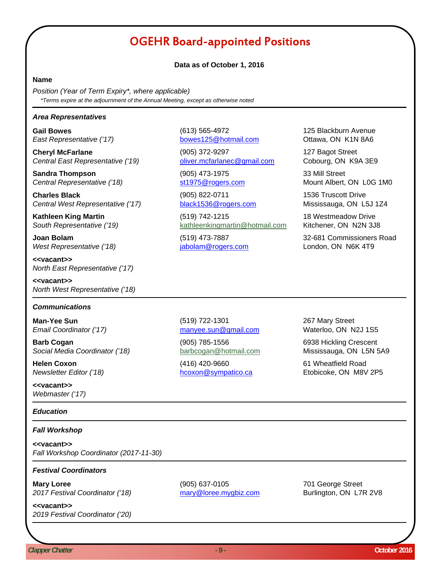# OGEHR Board-appointed Positions

#### **Data as of October 1, 2016**

#### **Name**

*Position (Year of Term Expiry\*, where applicable) \*Terms expire at the adjournment of the Annual Meeting, except as otherwise noted*

#### *Area Representatives*

*East Representative ('17)* bowes125@hotmail.com Ottawa, ON K1N 8A6

**Cheryl McFarlane** 127 Bagot Street *Central East Representative ('19)* oliver.mcfarlanec@gmail.com Cobourg, ON K9A 3E9

**Sandra Thompson** (905) 473-1975 33 Mill Street **Central Representative ('18)** st1975@rogers.com Mount Albert, ON L0G 1M0

**Charles Black Charles Black 1536 Truscott Drive** (905) 822-0711 1536 Truscott Drive *Central West Representative ('17)* black1536@rogers.com Mississauga, ON L5J 1Z4

**Kathleen King Martin** (519) 742-1215 18 Westmeadow Drive *South Representative ('19)* kathleenkingmartin@hotmail.com Kitchener, ON N2N 3J8

West Representative ('18) **jabolam@rogers.com** London, ON N6K 4T9

**<<vacant>>** *North East Representative ('17)*

**<<vacant>>** *North West Representative ('18)*

#### *Communications*

*Email Coordinator ('17)* manyee.sun@gmail.com Waterloo, ON N2J 1S5

**Barb Cogan Cogan 1998 1998 1998 1998 1998 1998 1998 1998 1998 1998 1998 1999 1999 1999 1999 1999 1999 1999 1999 1999 1999 1999 1999 1999 1999 1999 1999 1999 1999** *Social Media Coordinator ('18)* barbcogan@hotmail.com Mississauga, ON L5N 5A9

**<<vacant>>** *Webmaster ('17)*

#### *Education*

#### *Fall Workshop*

**<<vacant>>** *Fall Workshop Coordinator (2017-11-30)*

#### *Festival Coordinators*

*2017 Festival Coordinator ('18)* mary@loree.mygbiz.com Burlington, ON L7R 2V8

*2019 Festival Coordinator ('20)*

**Mary Loree** (905) 637-0105 701 George Street

**Man-Yee Sun** 267 Mary Street (519) 722-1301

**Helen Coxon** (416) 420-9660 61 Wheatfield Road *Newsletter Editor ('18)* hcoxon@sympatico.ca Etobicoke, ON M8V 2P5

**Gail Bowes** (613) 565-4972 125 Blackburn Avenue

**Joan Bolam 1988 1988 12:33 12:44 13:45 14:46 15:49 173-7887 32-681 Commissioners Road** 

**<<vacant>>**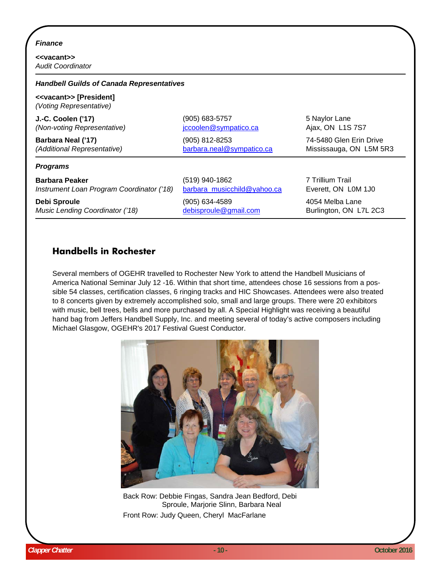#### *Finance*

**<<vacant>>** *Audit Coordinator*

| <b>Handbell Guilds of Canada Representatives</b> |                              |                         |  |                                                                 |
|--------------------------------------------------|------------------------------|-------------------------|--|-----------------------------------------------------------------|
|                                                  |                              |                         |  | < <vacant>&gt; [President]<br/>(Voting Representative)</vacant> |
| J.-C. Coolen ('17)                               | (905) 683-5757               | 5 Naylor Lane           |  |                                                                 |
| (Non-voting Representative)                      | <u>iccoolen@sympatico.ca</u> | Ajax, ON L1S 7S7        |  |                                                                 |
| Barbara Neal ('17)                               | (905) 812-8253               | 74-5480 Glen Erin Drive |  |                                                                 |
| (Additional Representative)                      | barbara.neal@sympatico.ca    | Mississauga, ON L5M 5R3 |  |                                                                 |
| <b>Programs</b>                                  |                              |                         |  |                                                                 |
| <b>Barbara Peaker</b>                            | (519) 940-1862               | 7 Trillium Trail        |  |                                                                 |
| Instrument Loan Program Coordinator ('18)        | barbara_musicchild@yahoo.ca  | Everett, ON L0M 1J0     |  |                                                                 |
| <b>Debi Sproule</b>                              | (905) 634-4589               | 4054 Melba Lane         |  |                                                                 |
| Music Lending Coordinator ('18)                  | debisproule@gmail.com        | Burlington, ON L7L 2C3  |  |                                                                 |

### **Handbells in Rochester**

 America National Seminar July 12 -16. Within that short time, attendees chose 16 sessions from a pos-Several members of OGEHR travelled to Rochester New York to attend the Handbell Musicians of sible 54 classes, certification classes, 6 ringing tracks and HIC Showcases. Attendees were also treated to 8 concerts given by extremely accomplished solo, small and large groups. There were 20 exhibitors with music, bell trees, bells and more purchased by all. A Special Highlight was receiving a beautiful hand bag from Jeffers Handbell Supply, Inc. and meeting several of today's active composers including Michael Glasgow, OGEHR's 2017 Festival Guest Conductor.



Back Row: Debbie Fingas, Sandra Jean Bedford, Debi Sproule, Marjorie Slinn, Barbara Neal Front Row: Judy Queen, Cheryl MacFarlane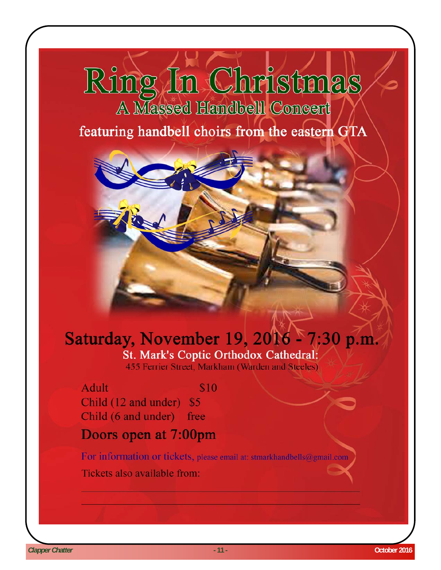# Ring In Christmas A Massed Handbell Concert

# featuring handbell choirs from the eastern GTA

## Saturday, November 19, 2016 - 7:30 p.m. St. Mark's Coptic Orthodox Cathedral: 455 Ferrier Street, Markham (Warden and Steeles)

**Adult** \$10 Child (12 and under) \$5 Child (6 and under) free

# Doors open at 7:00pm

For information or tickets, please email at: stmarkhandbells@gmail.com Tickets also available from: